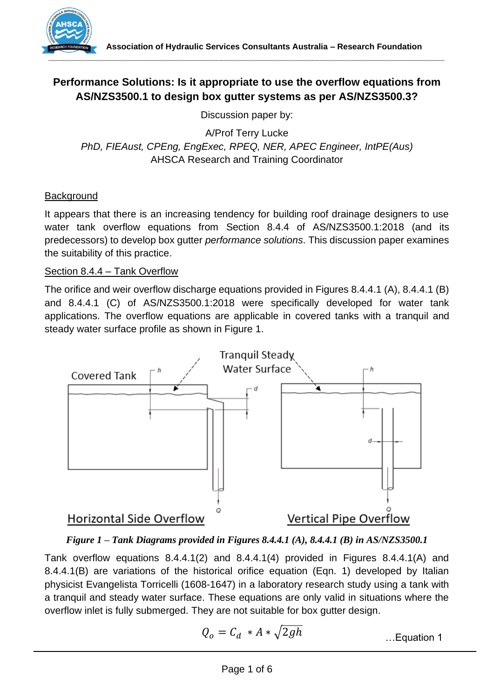

# **Performance Solutions: Is it appropriate to use the overflow equations from AS/NZS3500.1 to design box gutter systems as per AS/NZS3500.3?**

Discussion paper by:

A/Prof Terry Lucke *PhD, FIEAust, CPEng, EngExec, RPEQ, NER, APEC Engineer, IntPE(Aus)* AHSCA Research and Training Coordinator

## **Background**

It appears that there is an increasing tendency for building roof drainage designers to use water tank overflow equations from Section 8.4.4 of AS/NZS3500.1:2018 (and its predecessors) to develop box gutter *performance solutions*. This discussion paper examines the suitability of this practice.

## Section 8.4.4 – Tank Overflow

The orifice and weir overflow discharge equations provided in Figures 8.4.4.1 (A), 8.4.4.1 (B) and 8.4.4.1 (C) of AS/NZS3500.1:2018 were specifically developed for water tank applications. The overflow equations are applicable in covered tanks with a tranquil and steady water surface profile as shown in Figure 1.



*Figure 1 – Tank Diagrams provided in Figures 8.4.4.1 (A), 8.4.4.1 (B) in AS/NZS3500.1*

Tank overflow equations 8.4.4.1(2) and 8.4.4.1(4) provided in Figures 8.4.4.1(A) and 8.4.4.1(B) are variations of the historical orifice equation (Eqn. 1) developed by Italian physicist Evangelista Torricelli (1608-1647) in a laboratory research study using a tank with a tranquil and steady water surface. These equations are only valid in situations where the overflow inlet is fully submerged. They are not suitable for box gutter design.

$$
Q_o = C_d * A * \sqrt{2gh}
$$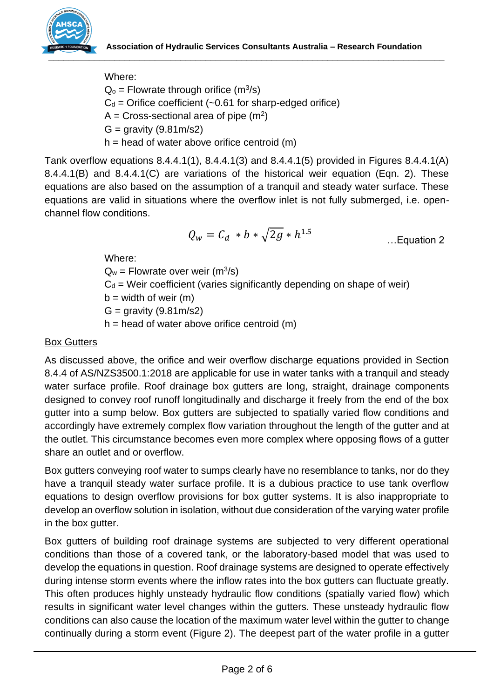

Where:

 $Q_0$  = Flowrate through orifice (m<sup>3</sup>/s)

 $C_d$  = Orifice coefficient (~0.61 for sharp-edged orifice)

A = Cross-sectional area of pipe  $(m^2)$ 

 $G =$  gravity (9.81m/s2)

 $h =$  head of water above orifice centroid  $(m)$ 

Tank overflow equations 8.4.4.1(1), 8.4.4.1(3) and 8.4.4.1(5) provided in Figures 8.4.4.1(A) 8.4.4.1(B) and 8.4.4.1(C) are variations of the historical weir equation (Eqn. 2). These equations are also based on the assumption of a tranquil and steady water surface. These equations are valid in situations where the overflow inlet is not fully submerged, i.e. openchannel flow conditions.

$$
Q_w = C_d * b * \sqrt{2g} * h^{1.5}
$$

Where:

 $Q_w$  = Flowrate over weir (m<sup>3</sup>/s)

 $C_d$  = Weir coefficient (varies significantly depending on shape of weir)

 $b = width of weight (m)$ 

 $G =$  gravity (9.81m/s2)

 $h =$  head of water above orifice centroid  $(m)$ 

## Box Gutters

As discussed above, the orifice and weir overflow discharge equations provided in Section 8.4.4 of AS/NZS3500.1:2018 are applicable for use in water tanks with a tranquil and steady water surface profile. Roof drainage box gutters are long, straight, drainage components designed to convey roof runoff longitudinally and discharge it freely from the end of the box gutter into a sump below. Box gutters are subjected to spatially varied flow conditions and accordingly have extremely complex flow variation throughout the length of the gutter and at the outlet. This circumstance becomes even more complex where opposing flows of a gutter share an outlet and or overflow.

Box gutters conveying roof water to sumps clearly have no resemblance to tanks, nor do they have a tranquil steady water surface profile. It is a dubious practice to use tank overflow equations to design overflow provisions for box gutter systems. It is also inappropriate to develop an overflow solution in isolation, without due consideration of the varying water profile in the box gutter.

Box gutters of building roof drainage systems are subjected to very different operational conditions than those of a covered tank, or the laboratory-based model that was used to develop the equations in question. Roof drainage systems are designed to operate effectively during intense storm events where the inflow rates into the box gutters can fluctuate greatly. This often produces highly unsteady hydraulic flow conditions (spatially varied flow) which results in significant water level changes within the gutters. These unsteady hydraulic flow conditions can also cause the location of the maximum water level within the gutter to change continually during a storm event (Figure 2). The deepest part of the water profile in a gutter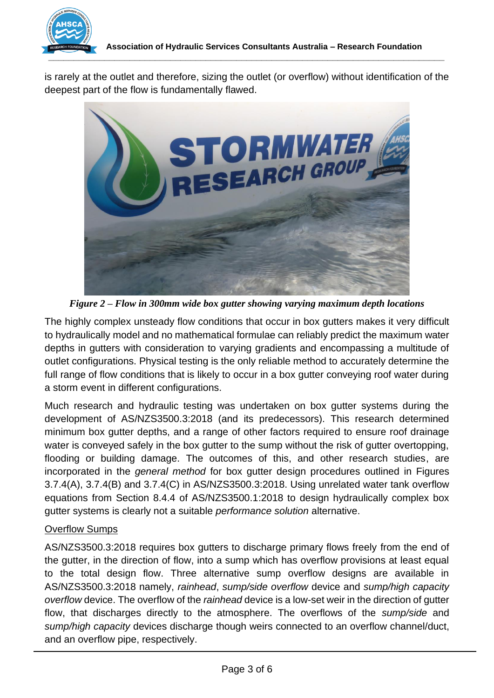

is rarely at the outlet and therefore, sizing the outlet (or overflow) without identification of the deepest part of the flow is fundamentally flawed.



*Figure 2 – Flow in 300mm wide box gutter showing varying maximum depth locations* 

The highly complex unsteady flow conditions that occur in box gutters makes it very difficult to hydraulically model and no mathematical formulae can reliably predict the maximum water depths in gutters with consideration to varying gradients and encompassing a multitude of outlet configurations. Physical testing is the only reliable method to accurately determine the full range of flow conditions that is likely to occur in a box gutter conveying roof water during a storm event in different configurations.

Much research and hydraulic testing was undertaken on box gutter systems during the development of AS/NZS3500.3:2018 (and its predecessors). This research determined minimum box gutter depths, and a range of other factors required to ensure roof drainage water is conveyed safely in the box gutter to the sump without the risk of gutter overtopping, flooding or building damage. The outcomes of this, and other research studies, are incorporated in the *general method* for box gutter design procedures outlined in Figures 3.7.4(A), 3.7.4(B) and 3.7.4(C) in AS/NZS3500.3:2018. Using unrelated water tank overflow equations from Section 8.4.4 of AS/NZS3500.1:2018 to design hydraulically complex box gutter systems is clearly not a suitable *performance solution* alternative.

## Overflow Sumps

AS/NZS3500.3:2018 requires box gutters to discharge primary flows freely from the end of the gutter, in the direction of flow, into a sump which has overflow provisions at least equal to the total design flow. Three alternative sump overflow designs are available in AS/NZS3500.3:2018 namely, *rainhead*, *sump/side overflow* device and *sump/high capacity overflow* device. The overflow of the *rainhead* device is a low-set weir in the direction of gutter flow, that discharges directly to the atmosphere. The overflows of the *sump/side* and *sump/high capacity* devices discharge though weirs connected to an overflow channel/duct, and an overflow pipe, respectively.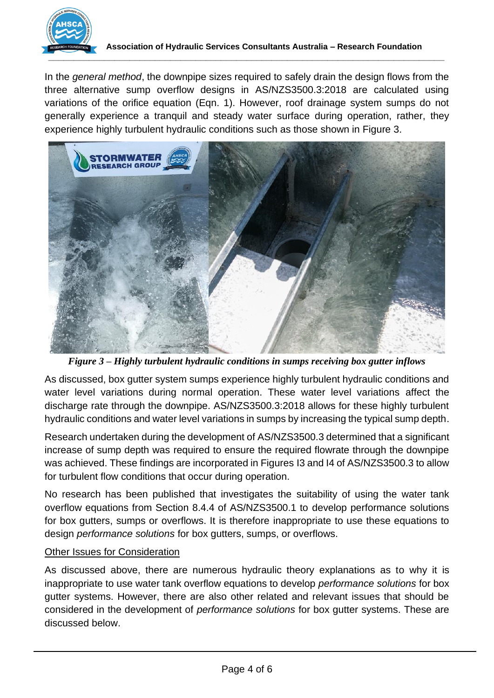

In the *general method*, the downpipe sizes required to safely drain the design flows from the three alternative sump overflow designs in AS/NZS3500.3:2018 are calculated using variations of the orifice equation (Eqn. 1). However, roof drainage system sumps do not generally experience a tranquil and steady water surface during operation, rather, they experience highly turbulent hydraulic conditions such as those shown in Figure 3.



*Figure 3 – Highly turbulent hydraulic conditions in sumps receiving box gutter inflows*

As discussed, box gutter system sumps experience highly turbulent hydraulic conditions and water level variations during normal operation. These water level variations affect the discharge rate through the downpipe. AS/NZS3500.3:2018 allows for these highly turbulent hydraulic conditions and water level variations in sumps by increasing the typical sump depth.

Research undertaken during the development of AS/NZS3500.3 determined that a significant increase of sump depth was required to ensure the required flowrate through the downpipe was achieved. These findings are incorporated in Figures I3 and I4 of AS/NZS3500.3 to allow for turbulent flow conditions that occur during operation.

No research has been published that investigates the suitability of using the water tank overflow equations from Section 8.4.4 of AS/NZS3500.1 to develop performance solutions for box gutters, sumps or overflows. It is therefore inappropriate to use these equations to design *performance solutions* for box gutters, sumps, or overflows.

#### Other Issues for Consideration

As discussed above, there are numerous hydraulic theory explanations as to why it is inappropriate to use water tank overflow equations to develop *performance solutions* for box gutter systems. However, there are also other related and relevant issues that should be considered in the development of *performance solutions* for box gutter systems. These are discussed below.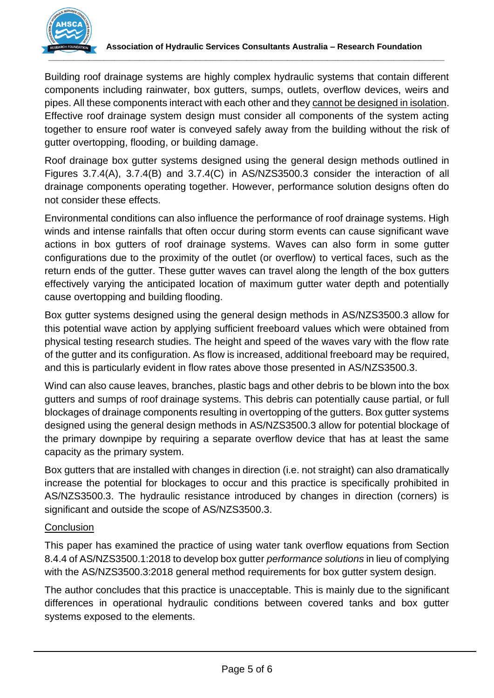

Building roof drainage systems are highly complex hydraulic systems that contain different components including rainwater, box gutters, sumps, outlets, overflow devices, weirs and pipes. All these components interact with each other and they cannot be designed in isolation. Effective roof drainage system design must consider all components of the system acting together to ensure roof water is conveyed safely away from the building without the risk of gutter overtopping, flooding, or building damage.

Roof drainage box gutter systems designed using the general design methods outlined in Figures 3.7.4(A), 3.7.4(B) and 3.7.4(C) in AS/NZS3500.3 consider the interaction of all drainage components operating together. However, performance solution designs often do not consider these effects.

Environmental conditions can also influence the performance of roof drainage systems. High winds and intense rainfalls that often occur during storm events can cause significant wave actions in box gutters of roof drainage systems. Waves can also form in some gutter configurations due to the proximity of the outlet (or overflow) to vertical faces, such as the return ends of the gutter. These gutter waves can travel along the length of the box gutters effectively varying the anticipated location of maximum gutter water depth and potentially cause overtopping and building flooding.

Box gutter systems designed using the general design methods in AS/NZS3500.3 allow for this potential wave action by applying sufficient freeboard values which were obtained from physical testing research studies. The height and speed of the waves vary with the flow rate of the gutter and its configuration. As flow is increased, additional freeboard may be required, and this is particularly evident in flow rates above those presented in AS/NZS3500.3.

Wind can also cause leaves, branches, plastic bags and other debris to be blown into the box gutters and sumps of roof drainage systems. This debris can potentially cause partial, or full blockages of drainage components resulting in overtopping of the gutters. Box gutter systems designed using the general design methods in AS/NZS3500.3 allow for potential blockage of the primary downpipe by requiring a separate overflow device that has at least the same capacity as the primary system.

Box gutters that are installed with changes in direction (i.e. not straight) can also dramatically increase the potential for blockages to occur and this practice is specifically prohibited in AS/NZS3500.3. The hydraulic resistance introduced by changes in direction (corners) is significant and outside the scope of AS/NZS3500.3.

## **Conclusion**

This paper has examined the practice of using water tank overflow equations from Section 8.4.4 of AS/NZS3500.1:2018 to develop box gutter *performance solutions* in lieu of complying with the AS/NZS3500.3:2018 general method requirements for box gutter system design.

The author concludes that this practice is unacceptable. This is mainly due to the significant differences in operational hydraulic conditions between covered tanks and box gutter systems exposed to the elements.